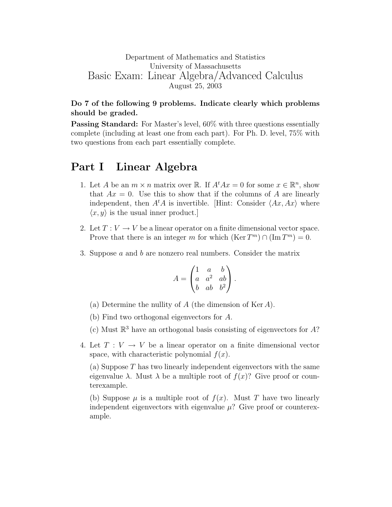## Department of Mathematics and Statistics University of Massachusetts Basic Exam: Linear Algebra/Advanced Calculus August 25, 2003

## Do 7 of the following 9 problems. Indicate clearly which problems should be graded.

Passing Standard: For Master's level,  $60\%$  with three questions essentially complete (including at least one from each part). For Ph. D. level, 75% with two questions from each part essentially complete.

## Part I Linear Algebra

- 1. Let A be an  $m \times n$  matrix over R. If  $A^t A x = 0$  for some  $x \in \mathbb{R}^n$ , show that  $Ax = 0$ . Use this to show that if the columns of A are linearly independent, then  $A<sup>t</sup>A$  is invertible. Hint: Consider  $\langle Ax, Ax \rangle$  where  $\langle x, y \rangle$  is the usual inner product.
- 2. Let  $T: V \to V$  be a linear operator on a finite dimensional vector space. Prove that there is an integer m for which  $(\text{Ker } T^m) \cap (\text{Im } T^m) = 0$ .
- 3. Suppose a and b are nonzero real numbers. Consider the matrix

$$
A = \begin{pmatrix} 1 & a & b \\ a & a^2 & ab \\ b & ab & b^2 \end{pmatrix}.
$$

- (a) Determine the nullity of  $A$  (the dimension of Ker  $A$ ).
- (b) Find two orthogonal eigenvectors for A.
- (c) Must  $\mathbb{R}^3$  have an orthogonal basis consisting of eigenvectors for A?
- 4. Let  $T: V \to V$  be a linear operator on a finite dimensional vector space, with characteristic polynomial  $f(x)$ .

(a) Suppose T has two linearly independent eigenvectors with the same eigenvalue  $\lambda$ . Must  $\lambda$  be a multiple root of  $f(x)$ ? Give proof or counterexample.

(b) Suppose  $\mu$  is a multiple root of  $f(x)$ . Must T have two linearly independent eigenvectors with eigenvalue  $\mu$ ? Give proof or counterexample.